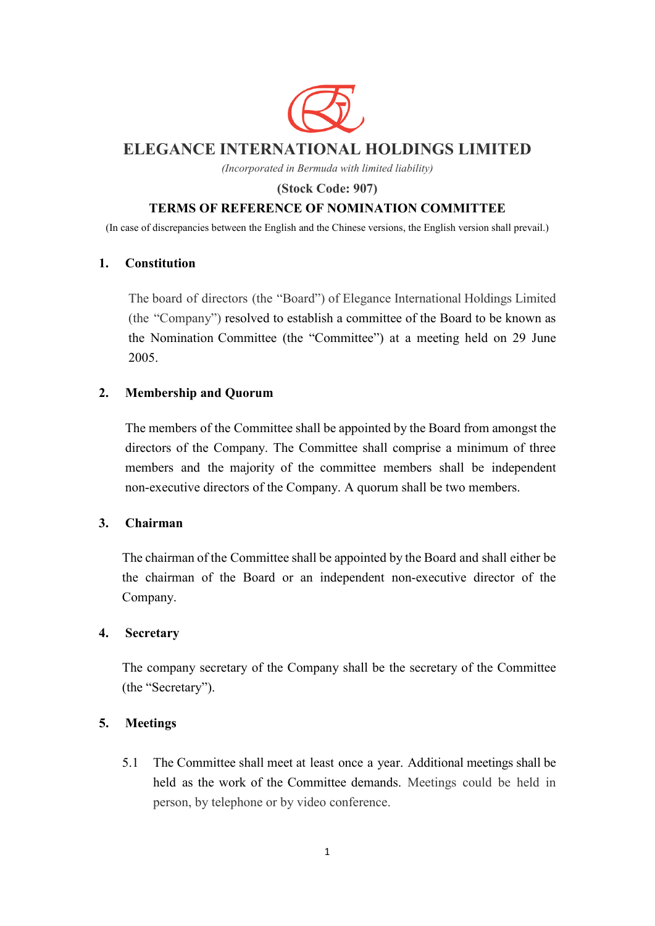

# **ELEGANCE INTERNATIONAL HOLDINGS LIMITED**

*(Incorporated in Bermuda with limited liability)*

**(Stock Code: 907)** 

## **TERMS OF REFERENCE OF NOMINATION COMMITTEE**

(In case of discrepancies between the English and the Chinese versions, the English version shall prevail.)

#### **1. Constitution**

The board of directors (the "Board") of Elegance International Holdings Limited (the "Company") resolved to establish a committee of the Board to be known as the Nomination Committee (the "Committee") at a meeting held on 29 June 2005.

## **2. Membership and Quorum**

The members of the Committee shall be appointed by the Board from amongst the directors of the Company. The Committee shall comprise a minimum of three members and the majority of the committee members shall be independent non-executive directors of the Company. A quorum shall be two members.

## **3. Chairman**

The chairman of the Committee shall be appointed by the Board and shall either be the chairman of the Board or an independent non-executive director of the Company.

## **4. Secretary**

The company secretary of the Company shall be the secretary of the Committee (the "Secretary").

## **5. Meetings**

5.1 The Committee shall meet at least once a year. Additional meetings shall be held as the work of the Committee demands. Meetings could be held in person, by telephone or by video conference.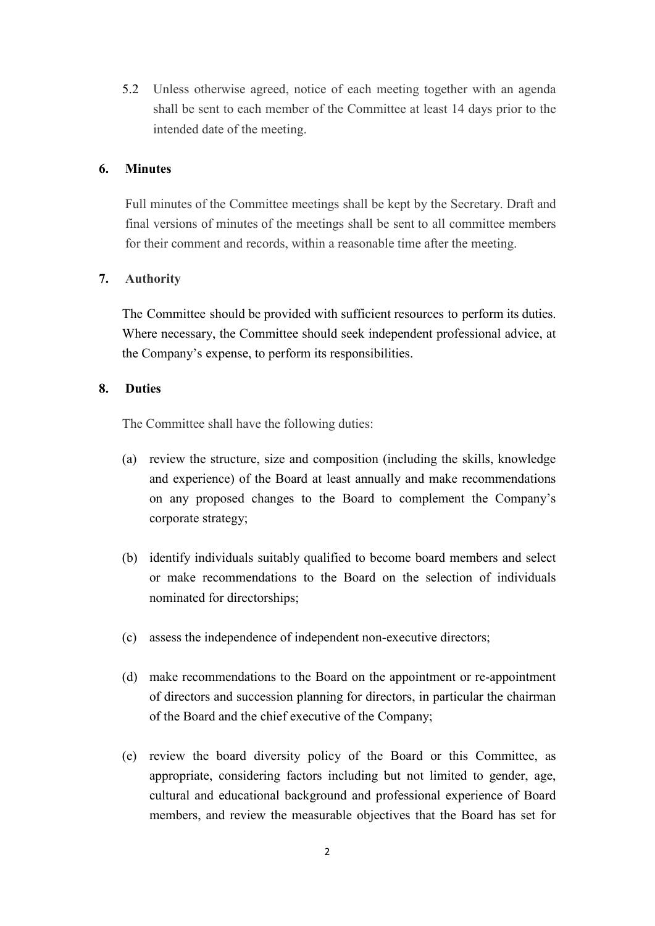5.2 Unless otherwise agreed, notice of each meeting together with an agenda shall be sent to each member of the Committee at least 14 days prior to the intended date of the meeting.

#### **6. Minutes**

Full minutes of the Committee meetings shall be kept by the Secretary. Draft and final versions of minutes of the meetings shall be sent to all committee members for their comment and records, within a reasonable time after the meeting.

## **7. Authority**

The Committee should be provided with sufficient resources to perform its duties. Where necessary, the Committee should seek independent professional advice, at the Company's expense, to perform its responsibilities.

#### **8. Duties**

The Committee shall have the following duties:

- (a) review the structure, size and composition (including the skills, knowledge and experience) of the Board at least annually and make recommendations on any proposed changes to the Board to complement the Company's corporate strategy;
- (b) identify individuals suitably qualified to become board members and select or make recommendations to the Board on the selection of individuals nominated for directorships;
- (c) assess the independence of independent non-executive directors;
- (d) make recommendations to the Board on the appointment or re-appointment of directors and succession planning for directors, in particular the chairman of the Board and the chief executive of the Company;
- (e) review the board diversity policy of the Board or this Committee, as appropriate, considering factors including but not limited to gender, age, cultural and educational background and professional experience of Board members, and review the measurable objectives that the Board has set for